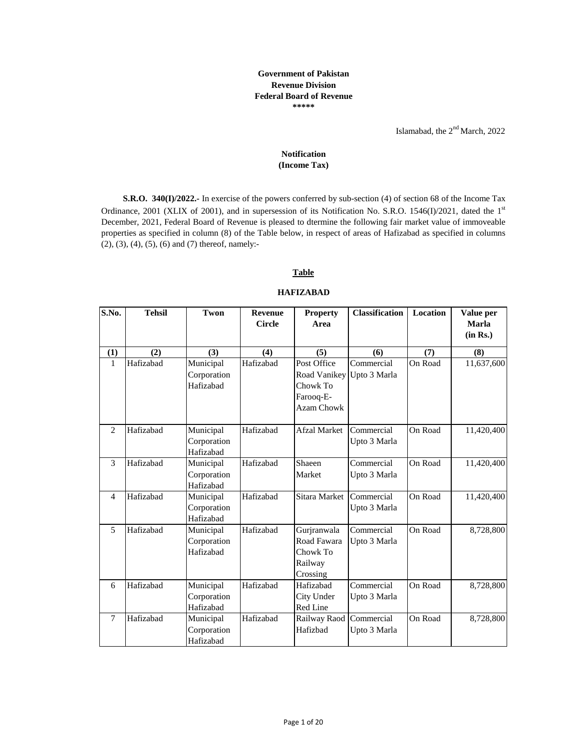**Government of Pakistan Revenue Division Federal Board of Revenue \*\*\*\*\***

Islamabad, the 2nd March, 2022

## **Notification (Income Tax)**

**S.R.O. 340(I)/2022.-** In exercise of the powers conferred by sub-section (4) of section 68 of the Income Tax Ordinance, 2001 (XLIX of 2001), and in supersession of its Notification No. S.R.O. 1546(I)/2021, dated the 1<sup>st</sup> December, 2021, Federal Board of Revenue is pleased to dtermine the following fair market value of immoveable properties as specified in column (8) of the Table below, in respect of areas of Hafizabad as specified in columns (2), (3), (4), (5), (6) and (7) thereof, namely:-

## **Table**

## **HAFIZABAD**

| S.No.          | <b>Tehsil</b> | Twon                                  | <b>Revenue</b><br><b>Circle</b> | <b>Property</b><br>Area                                                                | <b>Classification</b>      | <b>Location</b> | Value per<br><b>Marla</b><br>(in Rs.) |
|----------------|---------------|---------------------------------------|---------------------------------|----------------------------------------------------------------------------------------|----------------------------|-----------------|---------------------------------------|
| (1)            | (2)           | (3)                                   | (4)                             | (5)                                                                                    | (6)                        | (7)             | (8)                                   |
| $\mathbf{1}$   | Hafizabad     | Municipal<br>Corporation<br>Hafizabad | Hafizabad                       | Post Office<br>Road Vanikey Upto 3 Marla<br>Chowk To<br>Farooq-E-<br><b>Azam Chowk</b> | Commercial                 | On Road         | 11,637,600                            |
| $\mathcal{L}$  | Hafizabad     | Municipal<br>Corporation<br>Hafizabad | Hafizabad                       | Afzal Market                                                                           | Commercial<br>Upto 3 Marla | On Road         | 11,420,400                            |
| 3              | Hafizabad     | Municipal<br>Corporation<br>Hafizabad | Hafizabad                       | Shaeen<br>Market                                                                       | Commercial<br>Upto 3 Marla | On Road         | 11,420,400                            |
| $\overline{4}$ | Hafizabad     | Municipal<br>Corporation<br>Hafizabad | Hafizabad                       | Sitara Market                                                                          | Commercial<br>Upto 3 Marla | On Road         | 11,420,400                            |
| $\overline{5}$ | Hafizabad     | Municipal<br>Corporation<br>Hafizabad | Hafizabad                       | Gurjranwala<br>Road Fawara<br>Chowk To<br>Railway<br>Crossing                          | Commercial<br>Upto 3 Marla | On Road         | 8,728,800                             |
| 6              | Hafizabad     | Municipal<br>Corporation<br>Hafizabad | Hafizabad                       | Hafizabad<br>City Under<br>Red Line                                                    | Commercial<br>Upto 3 Marla | On Road         | 8,728,800                             |
| $\overline{7}$ | Hafizabad     | Municipal<br>Corporation<br>Hafizabad | Hafizabad                       | Railway Raod<br>Hafizbad                                                               | Commercial<br>Upto 3 Marla | On Road         | 8,728,800                             |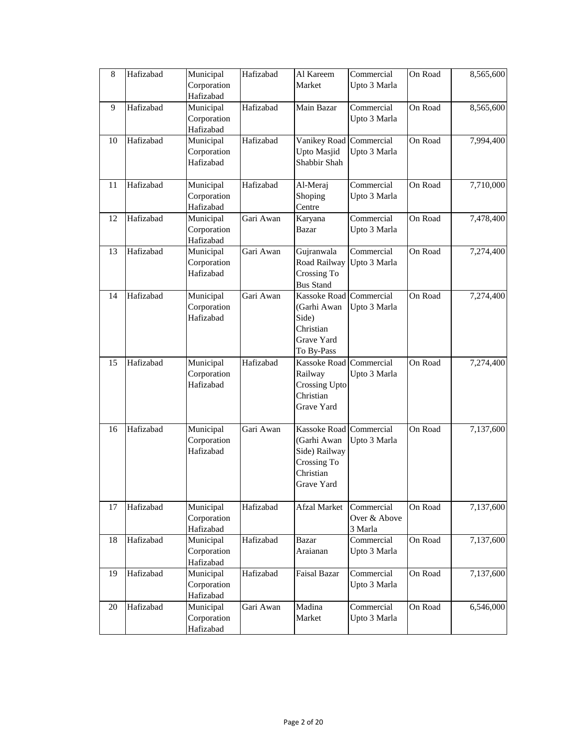| 8  | Hafizabad | Municipal<br>Corporation<br>Hafizabad | Hafizabad | Al Kareem<br>Market                                                                           | Commercial<br>Upto 3 Marla            | On Road | 8,565,600 |
|----|-----------|---------------------------------------|-----------|-----------------------------------------------------------------------------------------------|---------------------------------------|---------|-----------|
| 9  | Hafizabad | Municipal<br>Corporation<br>Hafizabad | Hafizabad | Main Bazar                                                                                    | Commercial<br>Upto 3 Marla            | On Road | 8,565,600 |
| 10 | Hafizabad | Municipal<br>Corporation<br>Hafizabad | Hafizabad | Vanikey Road<br>Upto Masjid<br>Shabbir Shah                                                   | Commercial<br>Upto 3 Marla            | On Road | 7,994,400 |
| 11 | Hafizabad | Municipal<br>Corporation<br>Hafizabad | Hafizabad | Al-Meraj<br>Shoping<br>Centre                                                                 | Commercial<br>Upto 3 Marla            | On Road | 7,710,000 |
| 12 | Hafizabad | Municipal<br>Corporation<br>Hafizabad | Gari Awan | Karyana<br><b>Bazar</b>                                                                       | Commercial<br>Upto 3 Marla            | On Road | 7,478,400 |
| 13 | Hafizabad | Municipal<br>Corporation<br>Hafizabad | Gari Awan | Gujranwala<br>Road Railway<br>Crossing To<br><b>Bus Stand</b>                                 | Commercial<br>Upto 3 Marla            | On Road | 7,274,400 |
| 14 | Hafizabad | Municipal<br>Corporation<br>Hafizabad | Gari Awan | <b>Kassoke Road</b><br>(Garhi Awan<br>Side)<br>Christian<br>Grave Yard<br>To By-Pass          | Commercial<br>Upto 3 Marla            | On Road | 7,274,400 |
| 15 | Hafizabad | Municipal<br>Corporation<br>Hafizabad | Hafizabad | Kassoke Road<br>Railway<br>Crossing Upto<br>Christian<br>Grave Yard                           | Commercial<br>Upto 3 Marla            | On Road | 7,274,400 |
| 16 | Hafizabad | Municipal<br>Corporation<br>Hafizabad | Gari Awan | <b>Kassoke Road</b><br>(Garhi Awan<br>Side) Railway<br>Crossing To<br>Christian<br>Grave Yard | Commercial<br>Upto 3 Marla            | On Road | 7,137,600 |
| 17 | Hafizabad | Municipal<br>Corporation<br>Hafizabad | Hafizabad | Afzal Market                                                                                  | Commercial<br>Over & Above<br>3 Marla | On Road | 7,137,600 |
| 18 | Hafizabad | Municipal<br>Corporation<br>Hafizabad | Hafizabad | Bazar<br>Araianan                                                                             | Commercial<br>Upto 3 Marla            | On Road | 7,137,600 |
| 19 | Hafizabad | Municipal<br>Corporation<br>Hafizabad | Hafizabad | Faisal Bazar                                                                                  | Commercial<br>Upto 3 Marla            | On Road | 7,137,600 |
| 20 | Hafizabad | Municipal<br>Corporation<br>Hafizabad | Gari Awan | Madina<br>Market                                                                              | Commercial<br>Upto 3 Marla            | On Road | 6,546,000 |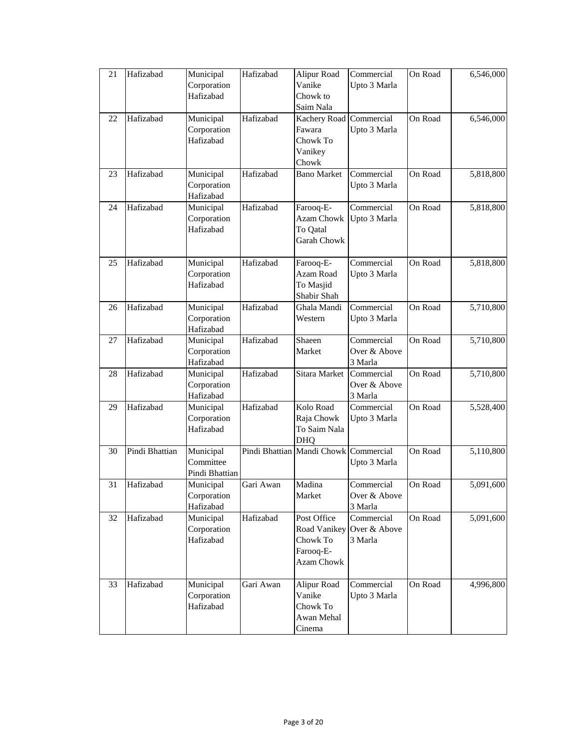| 21 | Hafizabad      | Municipal<br>Corporation<br>Hafizabad    | Hafizabad | Alipur Road<br>Vanike<br>Chowk to<br>Saim Nala                            | Commercial<br>Upto 3 Marla            | On Road | 6,546,000 |
|----|----------------|------------------------------------------|-----------|---------------------------------------------------------------------------|---------------------------------------|---------|-----------|
| 22 | Hafizabad      | Municipal<br>Corporation<br>Hafizabad    | Hafizabad | Kachery Road<br>Fawara<br>Chowk To<br>Vanikey<br>Chowk                    | Commercial<br>Upto 3 Marla            | On Road | 6,546,000 |
| 23 | Hafizabad      | Municipal<br>Corporation<br>Hafizabad    | Hafizabad | <b>Bano Market</b>                                                        | Commercial<br>Upto 3 Marla            | On Road | 5,818,800 |
| 24 | Hafizabad      | Municipal<br>Corporation<br>Hafizabad    | Hafizabad | Farooq-E-<br><b>Azam Chowk</b><br>To Qatal<br><b>Garah Chowk</b>          | Commercial<br>Upto 3 Marla            | On Road | 5,818,800 |
| 25 | Hafizabad      | Municipal<br>Corporation<br>Hafizabad    | Hafizabad | Farooq-E-<br>Azam Road<br>To Masjid<br>Shabir Shah                        | Commercial<br>Upto 3 Marla            | On Road | 5,818,800 |
| 26 | Hafizabad      | Municipal<br>Corporation<br>Hafizabad    | Hafizabad | Ghala Mandi<br>Western                                                    | Commercial<br>Upto 3 Marla            | On Road | 5,710,800 |
| 27 | Hafizabad      | Municipal<br>Corporation<br>Hafizabad    | Hafizabad | Shaeen<br>Market                                                          | Commercial<br>Over & Above<br>3 Marla | On Road | 5,710,800 |
| 28 | Hafizabad      | Municipal<br>Corporation<br>Hafizabad    | Hafizabad | Sitara Market                                                             | Commercial<br>Over & Above<br>3 Marla | On Road | 5,710,800 |
| 29 | Hafizabad      | Municipal<br>Corporation<br>Hafizabad    | Hafizabad | Kolo Road<br>Raja Chowk<br>To Saim Nala<br>DHQ                            | Commercial<br>Upto 3 Marla            | On Road | 5,528,400 |
| 30 | Pindi Bhattian | Municipal<br>Committee<br>Pindi Bhattian |           | Pindi Bhattian Mandi Chowk                                                | Commercial<br>Upto 3 Marla            | On Road | 5,110,800 |
| 31 | Hafizabad      | Municipal<br>Corporation<br>Hafizabad    | Gari Awan | Madina<br>Market                                                          | Commercial<br>Over & Above<br>3 Marla | On Road | 5,091,600 |
| 32 | Hafizabad      | Municipal<br>Corporation<br>Hafizabad    | Hafizabad | Post Office<br>Road Vanikey<br>Chowk To<br>Farooq-E-<br><b>Azam Chowk</b> | Commercial<br>Over & Above<br>3 Marla | On Road | 5,091,600 |
| 33 | Hafizabad      | Municipal<br>Corporation<br>Hafizabad    | Gari Awan | Alipur Road<br>Vanike<br>Chowk To<br>Awan Mehal<br>Cinema                 | Commercial<br>Upto 3 Marla            | On Road | 4,996,800 |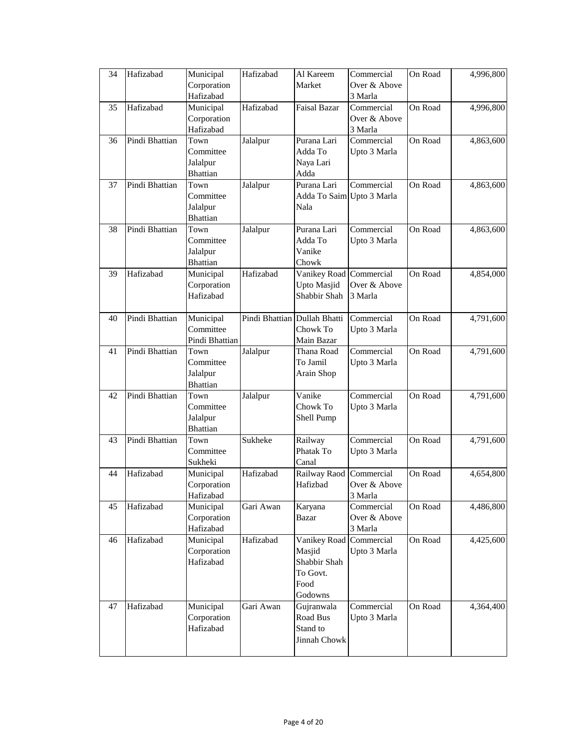| 34 | Hafizabad      | Municipal                   | Hafizabad                    | Al Kareem                 | Commercial              | On Road | 4,996,800 |
|----|----------------|-----------------------------|------------------------------|---------------------------|-------------------------|---------|-----------|
|    |                | Corporation                 |                              | Market                    | Over & Above            |         |           |
|    |                | Hafizabad                   |                              |                           | 3 Marla                 |         |           |
| 35 | Hafizabad      | Municipal                   | Hafizabad                    | <b>Faisal Bazar</b>       | Commercial              | On Road | 4,996,800 |
|    |                | Corporation<br>Hafizabad    |                              |                           | Over & Above<br>3 Marla |         |           |
| 36 | Pindi Bhattian | Town                        | Jalalpur                     | Purana Lari               | Commercial              | On Road | 4,863,600 |
|    |                | Committee                   |                              | Adda To                   | Upto 3 Marla            |         |           |
|    |                | Jalalpur                    |                              | Naya Lari                 |                         |         |           |
|    |                | <b>Bhattian</b>             |                              | Adda                      |                         |         |           |
| 37 | Pindi Bhattian | Town                        | Jalalpur                     | Purana Lari               | Commercial              | On Road | 4,863,600 |
|    |                | Committee                   |                              | Adda To Saim Upto 3 Marla |                         |         |           |
|    |                | Jalalpur                    |                              | Nala                      |                         |         |           |
|    |                | <b>Bhattian</b>             |                              |                           |                         |         |           |
| 38 | Pindi Bhattian | Town                        | Jalalpur                     | Purana Lari               | Commercial              | On Road | 4,863,600 |
|    |                | Committee                   |                              | Adda To                   | Upto 3 Marla            |         |           |
|    |                | Jalalpur                    |                              | Vanike                    |                         |         |           |
|    |                | <b>Bhattian</b>             |                              | Chowk                     |                         |         |           |
| 39 | Hafizabad      | Municipal                   | Hafizabad                    | Vanikey Road Commercial   |                         | On Road | 4,854,000 |
|    |                | Corporation                 |                              | Upto Masjid               | Over & Above            |         |           |
|    |                | Hafizabad                   |                              | Shabbir Shah              | 3 Marla                 |         |           |
|    |                |                             |                              |                           |                         |         |           |
| 40 | Pindi Bhattian | Municipal                   | Pindi Bhattian Dullah Bhatti |                           | Commercial              | On Road | 4,791,600 |
|    |                | Committee                   |                              | Chowk To                  | Upto 3 Marla            |         |           |
|    |                | Pindi Bhattian              |                              | Main Bazar                |                         |         |           |
| 41 | Pindi Bhattian | Town                        | Jalalpur                     | Thana Road                | Commercial              | On Road | 4,791,600 |
|    |                | Committee                   |                              | To Jamil                  | Upto 3 Marla            |         |           |
|    |                | Jalalpur<br><b>Bhattian</b> |                              | Arain Shop                |                         |         |           |
| 42 | Pindi Bhattian | Town                        | Jalalpur                     | Vanike                    | Commercial              | On Road | 4,791,600 |
|    |                | Committee                   |                              | Chowk To                  | Upto 3 Marla            |         |           |
|    |                | Jalalpur                    |                              | Shell Pump                |                         |         |           |
|    |                | <b>Bhattian</b>             |                              |                           |                         |         |           |
| 43 | Pindi Bhattian | Town                        | Sukheke                      | Railway                   | Commercial              | On Road | 4,791,600 |
|    |                | Committee                   |                              | Phatak To                 | Upto 3 Marla            |         |           |
|    |                | Sukheki                     |                              | Canal                     |                         |         |           |
| 44 | Hafizabad      | Municipal                   | Hafizabad                    | Railway Raod              | Commercial              | On Road | 4,654,800 |
|    |                | Corporation                 |                              | Hafizbad                  | Over & Above            |         |           |
|    |                | Hafizabad                   |                              |                           | 3 Marla                 |         |           |
| 45 | Hafizabad      | Municipal                   | Gari Awan                    | Karyana                   | Commercial              | On Road | 4,486,800 |
|    |                | Corporation                 |                              | <b>Bazar</b>              | Over & Above            |         |           |
|    |                | Hafizabad                   |                              |                           | 3 Marla                 |         |           |
| 46 | Hafizabad      | Municipal                   | Hafizabad                    | Vanikey Road              | Commercial              | On Road | 4,425,600 |
|    |                | Corporation                 |                              | Masjid                    | Upto 3 Marla            |         |           |
|    |                | Hafizabad                   |                              | Shabbir Shah              |                         |         |           |
|    |                |                             |                              | To Govt.                  |                         |         |           |
|    |                |                             |                              | Food                      |                         |         |           |
|    |                |                             |                              | Godowns                   | Commercial              |         |           |
| 47 | Hafizabad      | Municipal<br>Corporation    | Gari Awan                    | Gujranwala<br>Road Bus    |                         | On Road | 4,364,400 |
|    |                | Hafizabad                   |                              | Stand to                  | Upto 3 Marla            |         |           |
|    |                |                             |                              | Jinnah Chowk              |                         |         |           |
|    |                |                             |                              |                           |                         |         |           |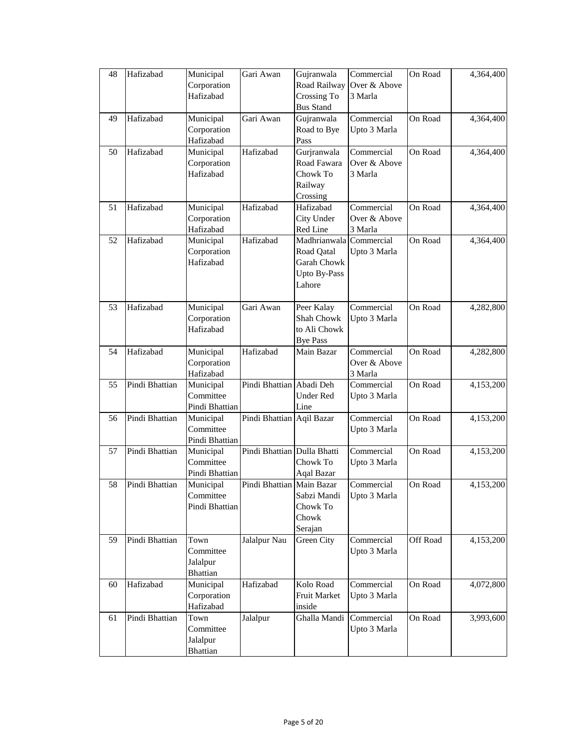| 48 | Hafizabad      | Municipal<br>Corporation<br>Hafizabad            | Gari Awan                   | Gujranwala<br>Road Railway<br>Crossing To<br><b>Bus Stand</b>              | Commercial<br>Over & Above<br>3 Marla | On Road  | 4,364,400 |
|----|----------------|--------------------------------------------------|-----------------------------|----------------------------------------------------------------------------|---------------------------------------|----------|-----------|
| 49 | Hafizabad      | Municipal<br>Corporation<br>Hafizabad            | Gari Awan                   | Gujranwala<br>Road to Bye<br>Pass                                          | Commercial<br>Upto 3 Marla            | On Road  | 4,364,400 |
| 50 | Hafizabad      | Municipal<br>Corporation<br>Hafizabad            | Hafizabad                   | Gurjranwala<br>Road Fawara<br>Chowk To<br>Railway<br>Crossing              | Commercial<br>Over & Above<br>3 Marla | On Road  | 4,364,400 |
| 51 | Hafizabad      | Municipal<br>Corporation<br>Hafizabad            | Hafizabad                   | Hafizabad<br>City Under<br>Red Line                                        | Commercial<br>Over & Above<br>3 Marla | On Road  | 4,364,400 |
| 52 | Hafizabad      | Municipal<br>Corporation<br>Hafizabad            | Hafizabad                   | Madhrianwala<br>Road Qatal<br>Garah Chowk<br><b>Upto By-Pass</b><br>Lahore | Commercial<br>Upto 3 Marla            | On Road  | 4,364,400 |
| 53 | Hafizabad      | Municipal<br>Corporation<br>Hafizabad            | Gari Awan                   | Peer Kalay<br><b>Shah Chowk</b><br>to Ali Chowk<br><b>Bye Pass</b>         | Commercial<br>Upto 3 Marla            | On Road  | 4,282,800 |
| 54 | Hafizabad      | Municipal<br>Corporation<br>Hafizabad            | Hafizabad                   | Main Bazar                                                                 | Commercial<br>Over & Above<br>3 Marla | On Road  | 4,282,800 |
| 55 | Pindi Bhattian | Municipal<br>Committee<br>Pindi Bhattian         | Pindi Bhattian Abadi Deh    | <b>Under Red</b><br>Line                                                   | Commercial<br>Upto 3 Marla            | On Road  | 4,153,200 |
| 56 | Pindi Bhattian | Municipal<br>Committee<br>Pindi Bhattian         | Pindi Bhattian Aqil Bazar   |                                                                            | Commercial<br>Upto 3 Marla            | On Road  | 4,153,200 |
| 57 | Pindi Bhattian | Municipal<br>Committee<br>Pindi Bhattian         | Pindi Bhattian Dulla Bhatti | Chowk To<br><b>Aqal Bazar</b>                                              | Commercial<br>Upto 3 Marla            | On Road  | 4,153,200 |
| 58 | Pindi Bhattian | Municipal<br>Committee<br>Pindi Bhattian         | Pindi Bhattian Main Bazar   | Sabzi Mandi<br>Chowk To<br>Chowk<br>Serajan                                | Commercial<br>Upto 3 Marla            | On Road  | 4,153,200 |
| 59 | Pindi Bhattian | Town<br>Committee<br>Jalalpur<br><b>Bhattian</b> | Jalalpur Nau                | Green City                                                                 | Commercial<br>Upto 3 Marla            | Off Road | 4,153,200 |
| 60 | Hafizabad      | Municipal<br>Corporation<br>Hafizabad            | Hafizabad                   | Kolo Road<br>Fruit Market<br>inside                                        | Commercial<br>Upto 3 Marla            | On Road  | 4,072,800 |
| 61 | Pindi Bhattian | Town<br>Committee<br>Jalalpur<br><b>Bhattian</b> | Jalalpur                    | Ghalla Mandi                                                               | Commercial<br>Upto 3 Marla            | On Road  | 3,993,600 |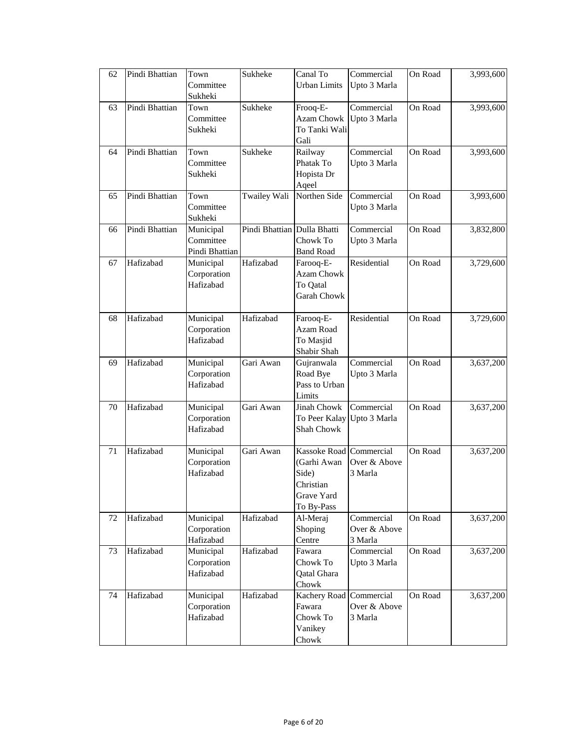| 62 | Pindi Bhattian | Town<br>Committee<br>Sukheki             | Sukheke                     | Canal To<br><b>Urban Limits</b>                                                          | Commercial<br>Upto 3 Marla            | On Road | 3,993,600 |
|----|----------------|------------------------------------------|-----------------------------|------------------------------------------------------------------------------------------|---------------------------------------|---------|-----------|
| 63 | Pindi Bhattian | Town<br>Committee<br>Sukheki             | Sukheke                     | Frooq-E-<br><b>Azam Chowk</b><br>To Tanki Wali<br>Gali                                   | Commercial<br>Upto 3 Marla            | On Road | 3,993,600 |
| 64 | Pindi Bhattian | Town<br>Committee<br>Sukheki             | Sukheke                     | Railway<br>Phatak To<br>Hopista Dr<br>Aqeel                                              | Commercial<br>Upto 3 Marla            | On Road | 3,993,600 |
| 65 | Pindi Bhattian | Town<br>Committee<br>Sukheki             | Twailey Wali                | Northen Side                                                                             | Commercial<br>Upto 3 Marla            | On Road | 3,993,600 |
| 66 | Pindi Bhattian | Municipal<br>Committee<br>Pindi Bhattian | Pindi Bhattian Dulla Bhatti | Chowk To<br><b>Band Road</b>                                                             | Commercial<br>Upto 3 Marla            | On Road | 3,832,800 |
| 67 | Hafizabad      | Municipal<br>Corporation<br>Hafizabad    | Hafizabad                   | Farooq-E-<br><b>Azam Chowk</b><br>To Qatal<br><b>Garah Chowk</b>                         | Residential                           | On Road | 3,729,600 |
| 68 | Hafizabad      | Municipal<br>Corporation<br>Hafizabad    | Hafizabad                   | Farooq-E-<br>Azam Road<br>To Masjid<br>Shabir Shah                                       | Residential                           | On Road | 3,729,600 |
| 69 | Hafizabad      | Municipal<br>Corporation<br>Hafizabad    | Gari Awan                   | Gujranwala<br>Road Bye<br>Pass to Urban<br>Limits                                        | Commercial<br>Upto 3 Marla            | On Road | 3,637,200 |
| 70 | Hafizabad      | Municipal<br>Corporation<br>Hafizabad    | Gari Awan                   | Jinah Chowk<br>To Peer Kalay<br>Shah Chowk                                               | Commercial<br>Upto 3 Marla            | On Road | 3,637,200 |
| 71 | Hafizabad      | Municipal<br>Corporation<br>Hafizabad    | Gari Awan                   | Kassoke Road Commercial<br>(Garhi Awan<br>Side)<br>Christian<br>Grave Yard<br>To By-Pass | Over & Above<br>3 Marla               | On Road | 3,637,200 |
| 72 | Hafizabad      | Municipal<br>Corporation<br>Hafizabad    | Hafizabad                   | Al-Meraj<br>Shoping<br>Centre                                                            | Commercial<br>Over & Above<br>3 Marla | On Road | 3,637,200 |
| 73 | Hafizabad      | Municipal<br>Corporation<br>Hafizabad    | Hafizabad                   | Fawara<br>Chowk To<br>Qatal Ghara<br>Chowk                                               | Commercial<br>Upto 3 Marla            | On Road | 3,637,200 |
| 74 | Hafizabad      | Municipal<br>Corporation<br>Hafizabad    | Hafizabad                   | Kachery Road Commercial<br>Fawara<br>Chowk To<br>Vanikey<br>Chowk                        | Over & Above<br>3 Marla               | On Road | 3,637,200 |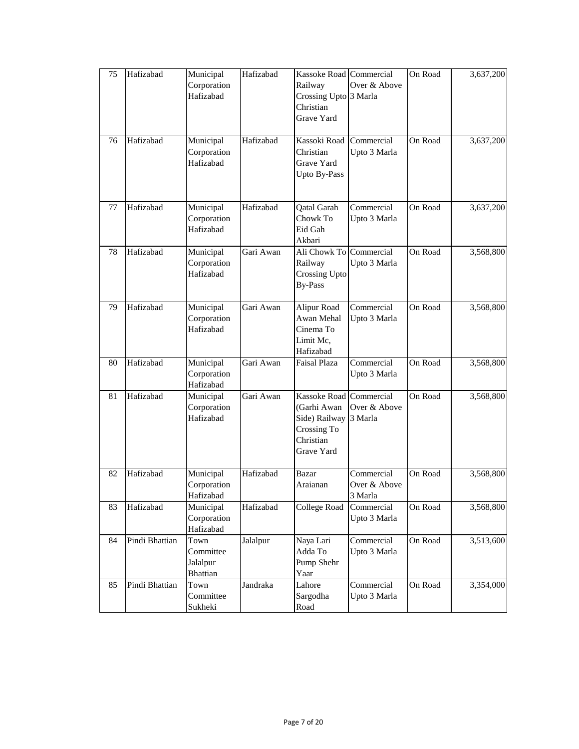| 75 | Hafizabad      | Municipal<br>Corporation<br>Hafizabad            | Hafizabad | Kassoke Road Commercial<br>Railway<br>Crossing Upto 3 Marla<br>Christian<br><b>Grave Yard</b> | Over & Above                          | On Road | 3,637,200 |
|----|----------------|--------------------------------------------------|-----------|-----------------------------------------------------------------------------------------------|---------------------------------------|---------|-----------|
| 76 | Hafizabad      | Municipal<br>Corporation<br>Hafizabad            | Hafizabad | Kassoki Road<br>Christian<br>Grave Yard<br><b>Upto By-Pass</b>                                | Commercial<br>Upto 3 Marla            | On Road | 3,637,200 |
| 77 | Hafizabad      | Municipal<br>Corporation<br>Hafizabad            | Hafizabad | Qatal Garah<br>Chowk To<br>Eid Gah<br>Akbari                                                  | Commercial<br>Upto 3 Marla            | On Road | 3,637,200 |
| 78 | Hafizabad      | Municipal<br>Corporation<br>Hafizabad            | Gari Awan | Ali Chowk To Commercial<br>Railway<br>Crossing Upto<br><b>By-Pass</b>                         | Upto 3 Marla                          | On Road | 3,568,800 |
| 79 | Hafizabad      | Municipal<br>Corporation<br>Hafizabad            | Gari Awan | Alipur Road<br>Awan Mehal<br>Cinema To<br>Limit Mc,<br>Hafizabad                              | Commercial<br>Upto 3 Marla            | On Road | 3,568,800 |
| 80 | Hafizabad      | Municipal<br>Corporation<br>Hafizabad            | Gari Awan | Faisal Plaza                                                                                  | Commercial<br>Upto 3 Marla            | On Road | 3,568,800 |
| 81 | Hafizabad      | Municipal<br>Corporation<br>Hafizabad            | Gari Awan | <b>Kassoke Road</b><br>(Garhi Awan<br>Side) Railway<br>Crossing To<br>Christian<br>Grave Yard | Commercial<br>Over & Above<br>3 Marla | On Road | 3,568,800 |
| 82 | Hafizabad      | Municipal<br>Corporation<br>Hafizabad            | Hafizabad | Bazar<br>Araianan                                                                             | Commercial<br>Over & Above<br>3 Marla | On Road | 3,568,800 |
| 83 | Hafizabad      | Municipal<br>Corporation<br>Hafizabad            | Hafizabad | College Road                                                                                  | Commercial<br>Upto 3 Marla            | On Road | 3,568,800 |
| 84 | Pindi Bhattian | Town<br>Committee<br>Jalalpur<br><b>Bhattian</b> | Jalalpur  | Naya Lari<br>Adda To<br>Pump Shehr<br>Yaar                                                    | Commercial<br>Upto 3 Marla            | On Road | 3,513,600 |
| 85 | Pindi Bhattian | Town<br>Committee<br>Sukheki                     | Jandraka  | Lahore<br>Sargodha<br>Road                                                                    | Commercial<br>Upto 3 Marla            | On Road | 3,354,000 |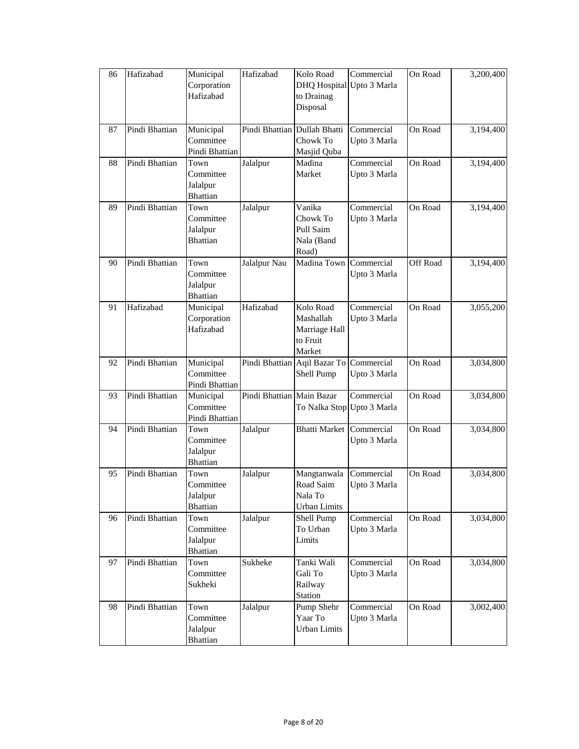| 86 | Hafizabad      | Municipal<br>Corporation<br>Hafizabad            | Hafizabad                    | Kolo Road<br>DHQ Hospital<br>to Drainag<br>Disposal           | Commercial<br>Upto 3 Marla | On Road         | 3,200,400 |
|----|----------------|--------------------------------------------------|------------------------------|---------------------------------------------------------------|----------------------------|-----------------|-----------|
| 87 | Pindi Bhattian | Municipal<br>Committee<br>Pindi Bhattian         | Pindi Bhattian Dullah Bhatti | Chowk To<br>Masjid Quba                                       | Commercial<br>Upto 3 Marla | On Road         | 3,194,400 |
| 88 | Pindi Bhattian | Town<br>Committee<br>Jalalpur<br><b>Bhattian</b> | Jalalpur                     | Madina<br>Market                                              | Commercial<br>Upto 3 Marla | On Road         | 3,194,400 |
| 89 | Pindi Bhattian | Town<br>Committee<br>Jalalpur<br><b>Bhattian</b> | Jalalpur                     | Vanika<br>Chowk To<br>Pull Saim<br>Nala (Band<br>Road)        | Commercial<br>Upto 3 Marla | On Road         | 3,194,400 |
| 90 | Pindi Bhattian | Town<br>Committee<br>Jalalpur<br><b>Bhattian</b> | Jalalpur Nau                 | Madina Town                                                   | Commercial<br>Upto 3 Marla | <b>Off Road</b> | 3,194,400 |
| 91 | Hafizabad      | Municipal<br>Corporation<br>Hafizabad            | Hafizabad                    | Kolo Road<br>Mashallah<br>Marriage Hall<br>to Fruit<br>Market | Commercial<br>Upto 3 Marla | On Road         | 3,055,200 |
| 92 | Pindi Bhattian | Municipal<br>Committee<br>Pindi Bhattian         | Pindi Bhattian               | Aqil Bazar To<br>Shell Pump                                   | Commercial<br>Upto 3 Marla | On Road         | 3,034,800 |
| 93 | Pindi Bhattian | Municipal<br>Committee<br>Pindi Bhattian         | Pindi Bhattian Main Bazar    | To Nalka Stop Upto 3 Marla                                    | Commercial                 | On Road         | 3,034,800 |
| 94 | Pindi Bhattian | Town<br>Committee<br>Jalalpur<br><b>Bhattian</b> | Jalalpur                     | <b>Bhatti Market</b>                                          | Commercial<br>Upto 3 Marla | On Road         | 3,034,800 |
| 95 | Pindi Bhattian | Town<br>Committee<br>Jalalpur<br><b>Bhattian</b> | Jalalpur                     | Mangtanwala<br>Road Saim<br>Nala To<br><b>Urban Limits</b>    | Commercial<br>Upto 3 Marla | On Road         | 3,034,800 |
| 96 | Pindi Bhattian | Town<br>Committee<br>Jalalpur<br><b>Bhattian</b> | Jalalpur                     | Shell Pump<br>To Urban<br>Limits                              | Commercial<br>Upto 3 Marla | On Road         | 3,034,800 |
| 97 | Pindi Bhattian | Town<br>Committee<br>Sukheki                     | Sukheke                      | Tanki Wali<br>Gali To<br>Railway<br>Station                   | Commercial<br>Upto 3 Marla | On Road         | 3,034,800 |
| 98 | Pindi Bhattian | Town<br>Committee<br>Jalalpur<br><b>Bhattian</b> | Jalalpur                     | Pump Shehr<br>Yaar To<br><b>Urban Limits</b>                  | Commercial<br>Upto 3 Marla | On Road         | 3,002,400 |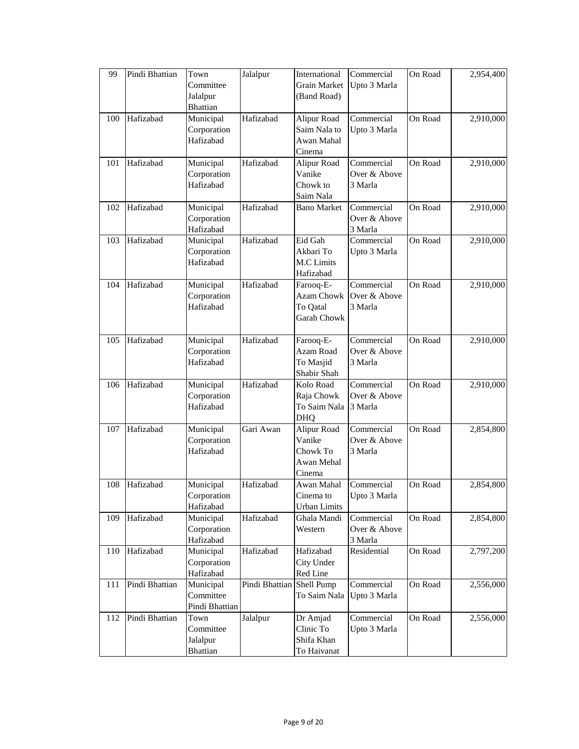| 99  | Pindi Bhattian | Town<br>Committee<br>Jalalpur<br><b>Bhattian</b> | Jalalpur       | International<br>Grain Market<br>(Band Road)              | Commercial<br>Upto 3 Marla            | On Road | 2,954,400 |
|-----|----------------|--------------------------------------------------|----------------|-----------------------------------------------------------|---------------------------------------|---------|-----------|
| 100 | Hafizabad      | Municipal<br>Corporation<br>Hafizabad            | Hafizabad      | Alipur Road<br>Saim Nala to<br>Awan Mahal<br>Cinema       | Commercial<br>Upto 3 Marla            | On Road | 2,910,000 |
| 101 | Hafizabad      | Municipal<br>Corporation<br>Hafizabad            | Hafizabad      | Alipur Road<br>Vanike<br>Chowk to<br>Saim Nala            | Commercial<br>Over & Above<br>3 Marla | On Road | 2,910,000 |
| 102 | Hafizabad      | Municipal<br>Corporation<br>Hafizabad            | Hafizabad      | <b>Bano Market</b>                                        | Commercial<br>Over & Above<br>3 Marla | On Road | 2,910,000 |
| 103 | Hafizabad      | Municipal<br>Corporation<br>Hafizabad            | Hafizabad      | Eid Gah<br>Akbari To<br>M.C Limits<br>Hafizabad           | Commercial<br>Upto 3 Marla            | On Road | 2,910,000 |
| 104 | Hafizabad      | Municipal<br>Corporation<br>Hafizabad            | Hafizabad      | Farooq-E-<br><b>Azam Chowk</b><br>To Qatal<br>Garah Chowk | Commercial<br>Over & Above<br>3 Marla | On Road | 2,910,000 |
| 105 | Hafizabad      | Municipal<br>Corporation<br>Hafizabad            | Hafizabad      | Farooq-E-<br>Azam Road<br>To Masjid<br>Shabir Shah        | Commercial<br>Over & Above<br>3 Marla | On Road | 2,910,000 |
| 106 | Hafizabad      | Municipal<br>Corporation<br>Hafizabad            | Hafizabad      | Kolo Road<br>Raja Chowk<br>To Saim Nala<br>DHQ            | Commercial<br>Over & Above<br>3 Marla | On Road | 2,910,000 |
| 107 | Hafizabad      | Municipal<br>Corporation<br>Hafizabad            | Gari Awan      | Alipur Road<br>Vanike<br>Chowk To<br>Awan Mehal<br>Cinema | Commercial<br>Over & Above<br>3 Marla | On Road | 2,854,800 |
| 108 | Hafizabad      | Municipal<br>Corporation<br>Hafizabad            | Hafizabad      | Awan Mahal<br>Cinema to<br><b>Urban Limits</b>            | Commercial<br>Upto 3 Marla            | On Road | 2,854,800 |
| 109 | Hafizabad      | Municipal<br>Corporation<br>Hafizabad            | Hafizabad      | Ghala Mandi<br>Western                                    | Commercial<br>Over & Above<br>3 Marla | On Road | 2,854,800 |
| 110 | Hafizabad      | Municipal<br>Corporation<br>Hafizabad            | Hafizabad      | Hafizabad<br>City Under<br>Red Line                       | Residential                           | On Road | 2,797,200 |
| 111 | Pindi Bhattian | Municipal<br>Committee<br>Pindi Bhattian         | Pindi Bhattian | Shell Pump<br>To Saim Nala                                | Commercial<br>Upto 3 Marla            | On Road | 2,556,000 |
| 112 | Pindi Bhattian | Town<br>Committee<br>Jalalpur<br><b>Bhattian</b> | Jalalpur       | Dr Amjad<br>Clinic To<br>Shifa Khan<br>To Haivanat        | Commercial<br>Upto 3 Marla            | On Road | 2,556,000 |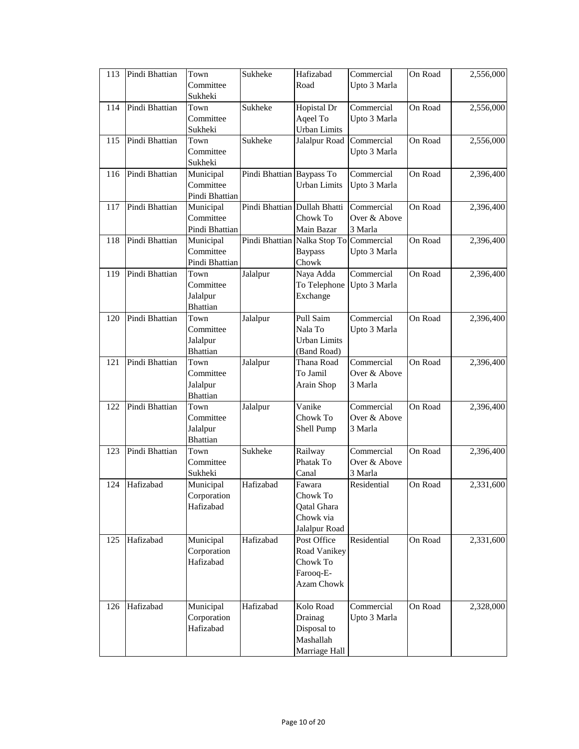| 113 | Pindi Bhattian | Town<br>Committee<br>Sukheki                     | Sukheke                        | Hafizabad<br>Road                                                         | Commercial<br>Upto 3 Marla            | On Road | 2,556,000 |
|-----|----------------|--------------------------------------------------|--------------------------------|---------------------------------------------------------------------------|---------------------------------------|---------|-----------|
| 114 | Pindi Bhattian | Town<br>Committee<br>Sukheki                     | Sukheke                        | Hopistal Dr<br>Aqeel To<br><b>Urban Limits</b>                            | Commercial<br>Upto 3 Marla            | On Road | 2,556,000 |
| 115 | Pindi Bhattian | Town<br>Committee<br>Sukheki                     | Sukheke                        | Jalalpur Road                                                             | Commercial<br>Upto 3 Marla            | On Road | 2,556,000 |
| 116 | Pindi Bhattian | Municipal<br>Committee<br>Pindi Bhattian         | Pindi Bhattian Baypass To      | <b>Urban Limits</b>                                                       | Commercial<br>Upto 3 Marla            | On Road | 2,396,400 |
| 117 | Pindi Bhattian | Municipal<br>Committee<br>Pindi Bhattian         | Pindi Bhattian   Dullah Bhatti | Chowk To<br>Main Bazar                                                    | Commercial<br>Over & Above<br>3 Marla | On Road | 2,396,400 |
| 118 | Pindi Bhattian | Municipal<br>Committee<br>Pindi Bhattian         |                                | Pindi Bhattian Nalka Stop To Commercial<br><b>Baypass</b><br>Chowk        | Upto 3 Marla                          | On Road | 2,396,400 |
| 119 | Pindi Bhattian | Town<br>Committee<br>Jalalpur<br><b>Bhattian</b> | Jalalpur                       | Naya Adda<br>To Telephone<br>Exchange                                     | Commercial<br>Upto 3 Marla            | On Road | 2,396,400 |
| 120 | Pindi Bhattian | Town<br>Committee<br>Jalalpur<br><b>Bhattian</b> | Jalalpur                       | Pull Saim<br>Nala To<br><b>Urban Limits</b><br>(Band Road)                | Commercial<br>Upto 3 Marla            | On Road | 2,396,400 |
| 121 | Pindi Bhattian | Town<br>Committee<br>Jalalpur<br><b>Bhattian</b> | Jalalpur                       | Thana Road<br>To Jamil<br>Arain Shop                                      | Commercial<br>Over & Above<br>3 Marla | On Road | 2,396,400 |
| 122 | Pindi Bhattian | Town<br>Committee<br>Jalalpur<br><b>Bhattian</b> | Jalalpur                       | Vanike<br>Chowk To<br>Shell Pump                                          | Commercial<br>Over & Above<br>3 Marla | On Road | 2,396,400 |
| 123 | Pindi Bhattian | Town<br>Committee<br>Sukheki                     | Sukheke                        | Railway<br>Phatak To<br>Canal                                             | Commercial<br>Over & Above<br>3 Marla | On Road | 2,396,400 |
| 124 | Hafizabad      | Municipal<br>Corporation<br>Hafizabad            | Hafizabad                      | Fawara<br>Chowk To<br>Qatal Ghara<br>Chowk via<br>Jalalpur Road           | Residential                           | On Road | 2,331,600 |
| 125 | Hafizabad      | Municipal<br>Corporation<br>Hafizabad            | Hafizabad                      | Post Office<br>Road Vanikey<br>Chowk To<br>Farooq-E-<br><b>Azam Chowk</b> | Residential                           | On Road | 2,331,600 |
| 126 | Hafizabad      | Municipal<br>Corporation<br>Hafizabad            | Hafizabad                      | Kolo Road<br>Drainag<br>Disposal to<br>Mashallah<br>Marriage Hall         | Commercial<br>Upto 3 Marla            | On Road | 2,328,000 |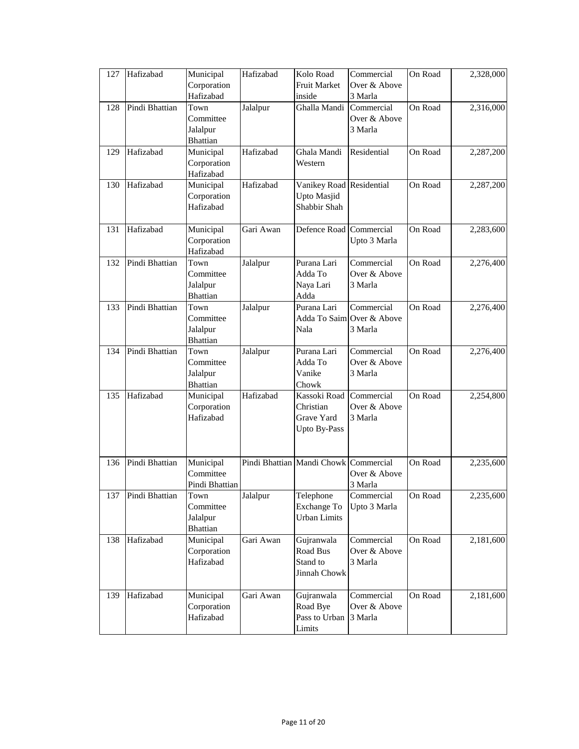| 127 | Hafizabad      | Municipal<br>Corporation                         | Hafizabad | Kolo Road<br>Fruit Market                                          | Commercial<br>Over & Above                         | On Road | 2,328,000 |
|-----|----------------|--------------------------------------------------|-----------|--------------------------------------------------------------------|----------------------------------------------------|---------|-----------|
|     |                | Hafizabad                                        |           | inside                                                             | 3 Marla                                            |         |           |
| 128 | Pindi Bhattian | Town<br>Committee<br>Jalalpur<br><b>Bhattian</b> | Jalalpur  | Ghalla Mandi                                                       | Commercial<br>Over & Above<br>3 Marla              | On Road | 2,316,000 |
| 129 | Hafizabad      | Municipal<br>Corporation<br>Hafizabad            | Hafizabad | Ghala Mandi<br>Western                                             | Residential                                        | On Road | 2,287,200 |
| 130 | Hafizabad      | Municipal<br>Corporation<br>Hafizabad            | Hafizabad | Vanikey Road Residential<br>Upto Masjid<br>Shabbir Shah            |                                                    | On Road | 2,287,200 |
| 131 | Hafizabad      | Municipal<br>Corporation<br>Hafizabad            | Gari Awan | Defence Road Commercial                                            | Upto 3 Marla                                       | On Road | 2,283,600 |
| 132 | Pindi Bhattian | Town<br>Committee<br>Jalalpur<br><b>Bhattian</b> | Jalalpur  | Purana Lari<br>Adda To<br>Naya Lari<br>Adda                        | Commercial<br>Over & Above<br>3 Marla              | On Road | 2,276,400 |
| 133 | Pindi Bhattian | Town<br>Committee<br>Jalalpur<br><b>Bhattian</b> | Jalalpur  | Purana Lari<br>Nala                                                | Commercial<br>Adda To Saim Over & Above<br>3 Marla | On Road | 2,276,400 |
| 134 | Pindi Bhattian | Town<br>Committee<br>Jalalpur<br><b>Bhattian</b> | Jalalpur  | Purana Lari<br>Adda To<br>Vanike<br>Chowk                          | Commercial<br>Over & Above<br>3 Marla              | On Road | 2,276,400 |
| 135 | Hafizabad      | Municipal<br>Corporation<br>Hafizabad            | Hafizabad | Kassoki Road Commercial<br>Christian<br>Grave Yard<br>Upto By-Pass | Over & Above<br>3 Marla                            | On Road | 2,254,800 |
| 136 | Pindi Bhattian | Municipal<br>Committee<br>Pindi Bhattian         |           | Pindi Bhattian Mandi Chowk Commercial                              | Over & Above<br>3 Marla                            | On Road | 2,235,600 |
| 137 | Pindi Bhattian | Town<br>Committee<br>Jalalpur<br>Bhattian        | Jalalpur  | Telephone<br><b>Exchange To</b><br><b>Urban Limits</b>             | Commercial<br>Upto 3 Marla                         | On Road | 2,235,600 |
| 138 | Hafizabad      | Municipal<br>Corporation<br>Hafizabad            | Gari Awan | Gujranwala<br>Road Bus<br>Stand to<br>Jinnah Chowk                 | Commercial<br>Over & Above<br>3 Marla              | On Road | 2,181,600 |
| 139 | Hafizabad      | Municipal<br>Corporation<br>Hafizabad            | Gari Awan | Gujranwala<br>Road Bye<br>Pass to Urban<br>Limits                  | Commercial<br>Over & Above<br>3 Marla              | On Road | 2,181,600 |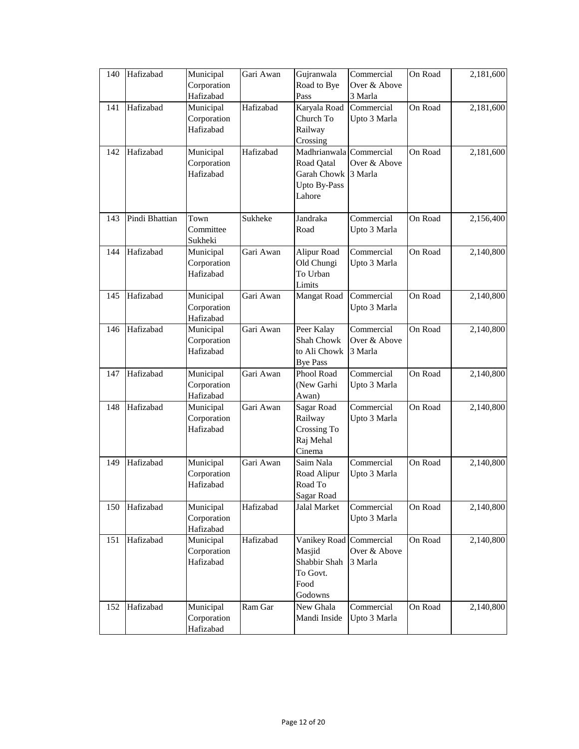| 140 | Hafizabad      | Municipal                | Gari Awan | Gujranwala                       | Commercial   | On Road | 2,181,600 |
|-----|----------------|--------------------------|-----------|----------------------------------|--------------|---------|-----------|
|     |                | Corporation              |           | Road to Bye                      | Over & Above |         |           |
|     |                | Hafizabad                |           | Pass                             | 3 Marla      |         |           |
| 141 | Hafizabad      | Municipal                | Hafizabad | Karyala Road<br>Church To        | Commercial   | On Road | 2,181,600 |
|     |                | Corporation<br>Hafizabad |           | Railway                          | Upto 3 Marla |         |           |
|     |                |                          |           |                                  |              |         |           |
|     |                |                          |           | Crossing                         |              |         |           |
| 142 | Hafizabad      | Municipal                | Hafizabad | Madhrianwala Commercial          | Over & Above | On Road | 2,181,600 |
|     |                | Corporation<br>Hafizabad |           | Road Qatal<br><b>Garah Chowk</b> | 3 Marla      |         |           |
|     |                |                          |           | Upto By-Pass                     |              |         |           |
|     |                |                          |           | Lahore                           |              |         |           |
|     |                |                          |           |                                  |              |         |           |
| 143 | Pindi Bhattian | Town                     | Sukheke   | Jandraka                         | Commercial   | On Road | 2,156,400 |
|     |                | Committee                |           | Road                             | Upto 3 Marla |         |           |
|     |                | Sukheki                  |           |                                  |              |         |           |
| 144 | Hafizabad      | Municipal                | Gari Awan | Alipur Road                      | Commercial   | On Road | 2,140,800 |
|     |                | Corporation              |           | Old Chungi                       | Upto 3 Marla |         |           |
|     |                | Hafizabad                |           | To Urban                         |              |         |           |
|     |                |                          |           | Limits                           |              |         |           |
| 145 | Hafizabad      | Municipal                | Gari Awan | Mangat Road                      | Commercial   | On Road | 2,140,800 |
|     |                | Corporation<br>Hafizabad |           |                                  | Upto 3 Marla |         |           |
|     | Hafizabad      |                          |           | Peer Kalay                       | Commercial   |         |           |
| 146 |                | Municipal<br>Corporation | Gari Awan | Shah Chowk                       | Over & Above | On Road | 2,140,800 |
|     |                | Hafizabad                |           | to Ali Chowk                     | 3 Marla      |         |           |
|     |                |                          |           | <b>Bye Pass</b>                  |              |         |           |
| 147 | Hafizabad      | Municipal                | Gari Awan | Phool Road                       | Commercial   | On Road | 2,140,800 |
|     |                | Corporation              |           | (New Garhi                       | Upto 3 Marla |         |           |
|     |                | Hafizabad                |           | Awan)                            |              |         |           |
| 148 | Hafizabad      | Municipal                | Gari Awan | Sagar Road                       | Commercial   | On Road | 2,140,800 |
|     |                | Corporation              |           | Railway                          | Upto 3 Marla |         |           |
|     |                | Hafizabad                |           | Crossing To                      |              |         |           |
|     |                |                          |           | Raj Mehal                        |              |         |           |
|     |                |                          |           | Cinema                           |              |         |           |
| 149 | Hafizabad      | Municipal                | Gari Awan | Saim Nala                        | Commercial   | On Road | 2,140,800 |
|     |                | Corporation              |           | Road Alipur                      | Upto 3 Marla |         |           |
|     |                | Hafizabad                |           | Road To                          |              |         |           |
|     |                |                          |           | Sagar Road                       |              |         |           |
| 150 | Hafizabad      | Municipal                | Hafizabad | Jalal Market                     | Commercial   | On Road | 2,140,800 |
|     |                | Corporation              |           |                                  | Upto 3 Marla |         |           |
|     |                | Hafizabad                |           |                                  |              |         |           |
| 151 | Hafizabad      | Municipal                | Hafizabad | Vanikey Road                     | Commercial   | On Road | 2,140,800 |
|     |                | Corporation              |           | Masjid                           | Over & Above |         |           |
|     |                | Hafizabad                |           | Shabbir Shah                     | 3 Marla      |         |           |
|     |                |                          |           | To Govt.                         |              |         |           |
|     |                |                          |           | Food                             |              |         |           |
|     |                |                          |           | Godowns                          |              |         |           |
| 152 | Hafizabad      | Municipal                | Ram Gar   | New Ghala                        | Commercial   | On Road | 2,140,800 |
|     |                | Corporation              |           | Mandi Inside                     | Upto 3 Marla |         |           |
|     |                | Hafizabad                |           |                                  |              |         |           |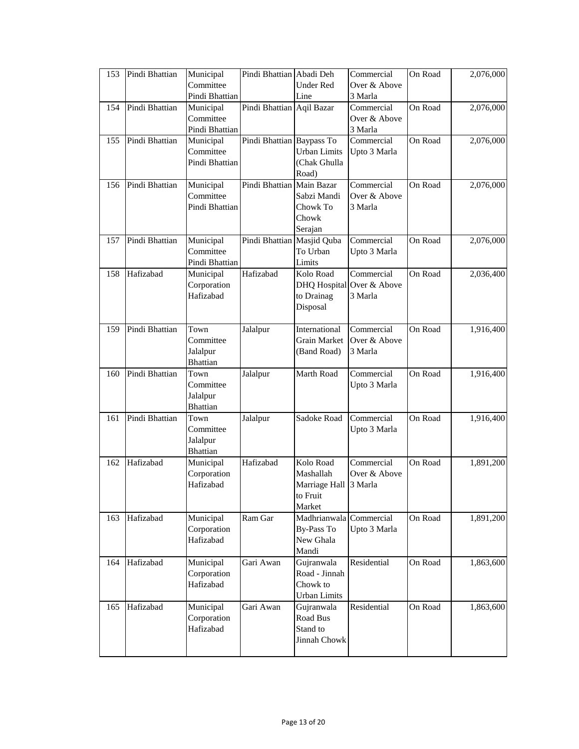| 153 | Pindi Bhattian | Municipal                | Pindi Bhattian Abadi Deh   |                                      | Commercial                | On Road | 2,076,000 |
|-----|----------------|--------------------------|----------------------------|--------------------------------------|---------------------------|---------|-----------|
|     |                | Committee                |                            | <b>Under Red</b>                     | Over & Above              |         |           |
|     |                | Pindi Bhattian           |                            | Line                                 | 3 Marla                   |         |           |
| 154 | Pindi Bhattian | Municipal                | Pindi Bhattian Aqil Bazar  |                                      | Commercial                | On Road | 2,076,000 |
|     |                | Committee                |                            |                                      | Over & Above              |         |           |
|     |                | Pindi Bhattian           |                            |                                      | 3 Marla                   |         |           |
| 155 | Pindi Bhattian | Municipal                | Pindi Bhattian Baypass To  |                                      | Commercial                | On Road | 2,076,000 |
|     |                | Committee                |                            | <b>Urban Limits</b>                  | Upto 3 Marla              |         |           |
|     |                | Pindi Bhattian           |                            | (Chak Ghulla<br>Road)                |                           |         |           |
| 156 | Pindi Bhattian | Municipal                | Pindi Bhattian Main Bazar  |                                      | Commercial                | On Road | 2,076,000 |
|     |                | Committee                |                            | Sabzi Mandi                          | Over & Above              |         |           |
|     |                | Pindi Bhattian           |                            | Chowk To                             | 3 Marla                   |         |           |
|     |                |                          |                            | Chowk                                |                           |         |           |
|     |                |                          |                            | Serajan                              |                           |         |           |
| 157 | Pindi Bhattian | Municipal                | Pindi Bhattian Masjid Quba |                                      | Commercial                | On Road | 2,076,000 |
|     |                | Committee                |                            | To Urban                             | Upto 3 Marla              |         |           |
|     |                | Pindi Bhattian           |                            | Limits                               |                           |         |           |
| 158 | Hafizabad      | Municipal                | Hafizabad                  | Kolo Road                            | Commercial                | On Road | 2,036,400 |
|     |                | Corporation              |                            |                                      | DHQ Hospital Over & Above |         |           |
|     |                | Hafizabad                |                            | to Drainag                           | 3 Marla                   |         |           |
|     |                |                          |                            | Disposal                             |                           |         |           |
|     | Pindi Bhattian | Town                     |                            |                                      | Commercial                | On Road |           |
| 159 |                | Committee                | Jalalpur                   | International<br><b>Grain Market</b> | Over & Above              |         | 1,916,400 |
|     |                | Jalalpur                 |                            | (Band Road)                          | 3 Marla                   |         |           |
|     |                | <b>Bhattian</b>          |                            |                                      |                           |         |           |
| 160 | Pindi Bhattian | Town                     | Jalalpur                   | Marth Road                           | Commercial                | On Road | 1,916,400 |
|     |                | Committee                |                            |                                      | Upto 3 Marla              |         |           |
|     |                | Jalalpur                 |                            |                                      |                           |         |           |
|     |                | <b>Bhattian</b>          |                            |                                      |                           |         |           |
| 161 | Pindi Bhattian | Town                     | Jalalpur                   | Sadoke Road                          | Commercial                | On Road | 1,916,400 |
|     |                | Committee                |                            |                                      | Upto 3 Marla              |         |           |
|     |                | Jalalpur                 |                            |                                      |                           |         |           |
|     |                | <b>Bhattian</b>          |                            |                                      |                           |         |           |
| 162 | Hafizabad      | Municipal                | Hafizabad                  | Kolo Road                            | Commercial                | On Road | 1,891,200 |
|     |                | Corporation<br>Hafizabad |                            | Mashallah                            | Over & Above              |         |           |
|     |                |                          |                            | Marriage Hall<br>to Fruit            | 3 Marla                   |         |           |
|     |                |                          |                            | Market                               |                           |         |           |
| 163 | Hafizabad      | Municipal                | Ram Gar                    | Madhrianwala Commercial              |                           | On Road | 1,891,200 |
|     |                | Corporation              |                            | <b>By-Pass To</b>                    | Upto 3 Marla              |         |           |
|     |                | Hafizabad                |                            | New Ghala                            |                           |         |           |
|     |                |                          |                            | Mandi                                |                           |         |           |
| 164 | Hafizabad      | Municipal                | Gari Awan                  | Gujranwala                           | Residential               | On Road | 1,863,600 |
|     |                | Corporation              |                            | Road - Jinnah                        |                           |         |           |
|     |                | Hafizabad                |                            | Chowk to                             |                           |         |           |
|     |                |                          |                            | <b>Urban Limits</b>                  |                           |         |           |
| 165 | Hafizabad      | Municipal                | Gari Awan                  | Gujranwala                           | Residential               | On Road | 1,863,600 |
|     |                | Corporation              |                            | Road Bus                             |                           |         |           |
|     |                | Hafizabad                |                            | Stand to                             |                           |         |           |
|     |                |                          |                            | Jinnah Chowk                         |                           |         |           |
|     |                |                          |                            |                                      |                           |         |           |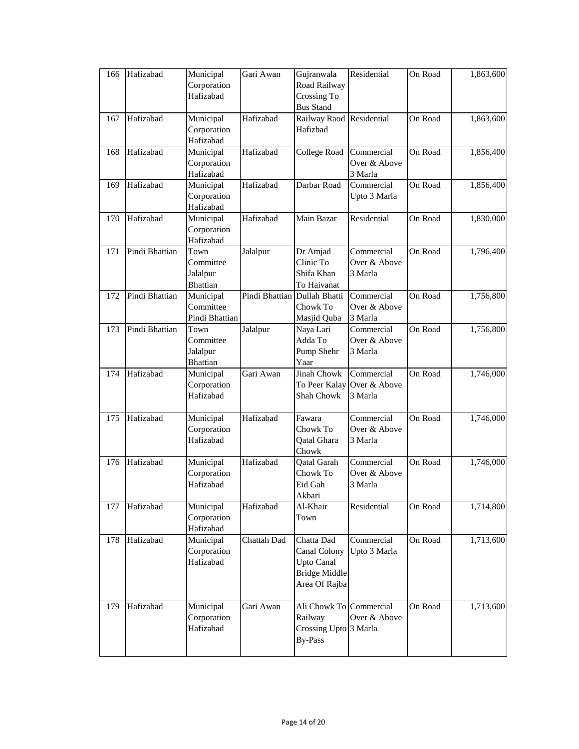| 166 | Hafizabad      | Municipal<br>Corporation<br>Hafizabad            | Gari Awan                    | Gujranwala<br>Road Railway<br>Crossing To<br><b>Bus Stand</b>                            | Residential                           | On Road | 1,863,600 |
|-----|----------------|--------------------------------------------------|------------------------------|------------------------------------------------------------------------------------------|---------------------------------------|---------|-----------|
| 167 | Hafizabad      | Municipal<br>Corporation<br>Hafizabad            | Hafizabad                    | Railway Raod Residential<br>Hafizbad                                                     |                                       | On Road | 1,863,600 |
| 168 | Hafizabad      | Municipal<br>Corporation<br>Hafizabad            | Hafizabad                    | College Road                                                                             | Commercial<br>Over & Above<br>3 Marla | On Road | 1,856,400 |
| 169 | Hafizabad      | Municipal<br>Corporation<br>Hafizabad            | Hafizabad                    | Darbar Road                                                                              | Commercial<br>Upto 3 Marla            | On Road | 1,856,400 |
| 170 | Hafizabad      | Municipal<br>Corporation<br>Hafizabad            | Hafizabad                    | Main Bazar                                                                               | Residential                           | On Road | 1,830,000 |
| 171 | Pindi Bhattian | Town<br>Committee<br>Jalalpur<br><b>Bhattian</b> | Jalalpur                     | Dr Amjad<br>Clinic To<br>Shifa Khan<br>To Haivanat                                       | Commercial<br>Over & Above<br>3 Marla | On Road | 1,796,400 |
| 172 | Pindi Bhattian | Municipal<br>Committee<br>Pindi Bhattian         | Pindi Bhattian Dullah Bhatti | Chowk To<br>Masjid Quba                                                                  | Commercial<br>Over & Above<br>3 Marla | On Road | 1,756,800 |
| 173 | Pindi Bhattian | Town<br>Committee<br>Jalalpur<br><b>Bhattian</b> | Jalalpur                     | Naya Lari<br>Adda To<br>Pump Shehr<br>Yaar                                               | Commercial<br>Over & Above<br>3 Marla | On Road | 1,756,800 |
| 174 | Hafizabad      | Municipal<br>Corporation<br>Hafizabad            | Gari Awan                    | Jinah Chowk<br>To Peer Kalay<br>Shah Chowk                                               | Commercial<br>Over & Above<br>3 Marla | On Road | 1,746,000 |
| 175 | Hafizabad      | Municipal<br>Corporation<br>Hafizabad            | Hafizabad                    | Fawara<br>Chowk To<br>Qatal Ghara<br>Chowk                                               | Commercial<br>Over & Above<br>3 Marla | On Road | 1,746,000 |
| 176 | Hafizabad      | Municipal<br>Corporation<br>Hafizabad            | Hafizabad                    | Qatal Garah<br>Chowk To<br>Eid Gah<br>Akbari                                             | Commercial<br>Over & Above<br>3 Marla | On Road | 1,746,000 |
| 177 | Hafizabad      | Municipal<br>Corporation<br>Hafizabad            | Hafizabad                    | Al-Khair<br>Town                                                                         | Residential                           | On Road | 1,714,800 |
| 178 | Hafizabad      | Municipal<br>Corporation<br>Hafizabad            | Chattah Dad                  | Chatta Dad<br>Canal Colony<br><b>Upto Canal</b><br><b>Bridge Middle</b><br>Area Of Rajba | Commercial<br>Upto 3 Marla            | On Road | 1,713,600 |
| 179 | Hafizabad      | Municipal<br>Corporation<br>Hafizabad            | Gari Awan                    | Ali Chowk To Commercial<br>Railway<br>Crossing Upto 3 Marla<br><b>By-Pass</b>            | Over & Above                          | On Road | 1,713,600 |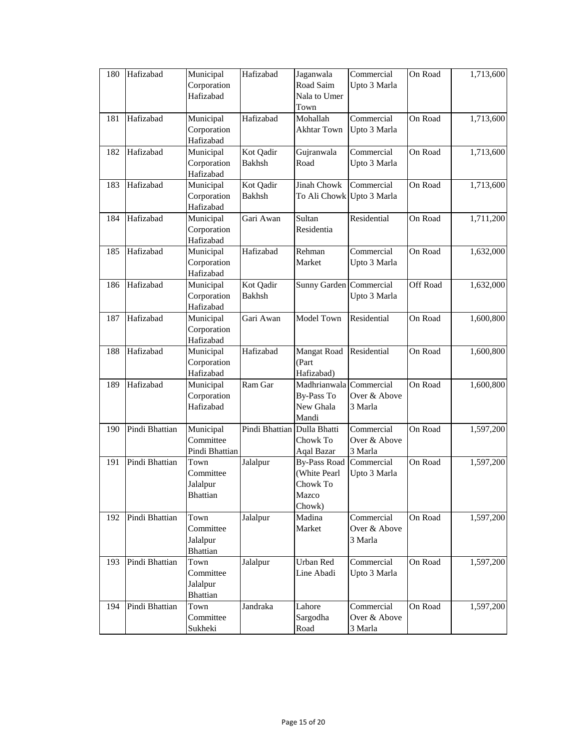| Corporation<br>Road Saim<br>Upto 3 Marla<br>Hafizabad<br>Nala to Umer<br>Town<br>Hafizabad<br>Hafizabad<br>Mohallah<br>Commercial<br>Municipal<br>181<br>Corporation<br><b>Akhtar Town</b><br>Upto 3 Marla<br>Hafizabad<br>Hafizabad<br>Commercial<br>Municipal<br>Kot Qadir<br>Gujranwala<br>182<br>Corporation<br><b>Bakhsh</b><br>Road<br>Upto 3 Marla | On Road<br>1,713,600<br>On Road<br>1,713,600<br>On Road<br>1,713,600 |  |
|-----------------------------------------------------------------------------------------------------------------------------------------------------------------------------------------------------------------------------------------------------------------------------------------------------------------------------------------------------------|----------------------------------------------------------------------|--|
|                                                                                                                                                                                                                                                                                                                                                           |                                                                      |  |
|                                                                                                                                                                                                                                                                                                                                                           |                                                                      |  |
|                                                                                                                                                                                                                                                                                                                                                           |                                                                      |  |
|                                                                                                                                                                                                                                                                                                                                                           |                                                                      |  |
|                                                                                                                                                                                                                                                                                                                                                           |                                                                      |  |
|                                                                                                                                                                                                                                                                                                                                                           |                                                                      |  |
|                                                                                                                                                                                                                                                                                                                                                           |                                                                      |  |
| Hafizabad                                                                                                                                                                                                                                                                                                                                                 |                                                                      |  |
| Hafizabad<br>Jinah Chowk<br>Commercial<br>Municipal<br>Kot Qadir<br>183                                                                                                                                                                                                                                                                                   |                                                                      |  |
| Corporation<br>Bakhsh<br>To Ali Chowk Upto 3 Marla                                                                                                                                                                                                                                                                                                        |                                                                      |  |
| Hafizabad                                                                                                                                                                                                                                                                                                                                                 |                                                                      |  |
| Hafizabad<br>Sultan<br>Residential<br>Gari Awan<br>184<br>Municipal                                                                                                                                                                                                                                                                                       | On Road<br>1,711,200                                                 |  |
| Residentia<br>Corporation                                                                                                                                                                                                                                                                                                                                 |                                                                      |  |
| Hafizabad                                                                                                                                                                                                                                                                                                                                                 |                                                                      |  |
| Municipal<br>Rehman<br>Commercial<br>Hafizabad<br>Hafizabad<br>185                                                                                                                                                                                                                                                                                        | On Road<br>1,632,000                                                 |  |
| Corporation<br>Market<br>Upto 3 Marla                                                                                                                                                                                                                                                                                                                     |                                                                      |  |
| Hafizabad                                                                                                                                                                                                                                                                                                                                                 |                                                                      |  |
| Hafizabad<br>Kot Qadir<br>Sunny Garden Commercial<br>186<br>Municipal                                                                                                                                                                                                                                                                                     | Off Road<br>1,632,000                                                |  |
| Corporation<br><b>Bakhsh</b><br>Upto 3 Marla                                                                                                                                                                                                                                                                                                              |                                                                      |  |
| Hafizabad                                                                                                                                                                                                                                                                                                                                                 |                                                                      |  |
| Hafizabad<br>Model Town<br>Residential<br>Municipal<br>Gari Awan<br>187                                                                                                                                                                                                                                                                                   | On Road<br>1,600,800                                                 |  |
| Corporation                                                                                                                                                                                                                                                                                                                                               |                                                                      |  |
| Hafizabad                                                                                                                                                                                                                                                                                                                                                 |                                                                      |  |
| Hafizabad<br>Hafizabad<br>Residential<br><b>Mangat Road</b><br>188<br>Municipal                                                                                                                                                                                                                                                                           | On Road<br>1,600,800                                                 |  |
| Corporation<br>(Part<br>Hafizabad<br>Hafizabad)                                                                                                                                                                                                                                                                                                           |                                                                      |  |
| Hafizabad<br>Madhrianwala Commercial<br>Municipal<br>Ram Gar<br>189                                                                                                                                                                                                                                                                                       | On Road<br>1,600,800                                                 |  |
| Corporation<br><b>By-Pass To</b><br>Over & Above                                                                                                                                                                                                                                                                                                          |                                                                      |  |
| New Ghala<br>Hafizabad<br>3 Marla                                                                                                                                                                                                                                                                                                                         |                                                                      |  |
| Mandi                                                                                                                                                                                                                                                                                                                                                     |                                                                      |  |
| Pindi Bhattian<br>Pindi Bhattian Dulla Bhatti<br>Municipal<br>Commercial<br>190                                                                                                                                                                                                                                                                           | On Road<br>1,597,200                                                 |  |
| Committee<br>Chowk To<br>Over & Above                                                                                                                                                                                                                                                                                                                     |                                                                      |  |
| Pindi Bhattian<br>Aqal Bazar<br>3 Marla                                                                                                                                                                                                                                                                                                                   |                                                                      |  |
| Pindi Bhattian<br>Commercial<br>191<br>Town<br>Jalalpur<br><b>By-Pass Road</b>                                                                                                                                                                                                                                                                            | On Road<br>1,597,200                                                 |  |
| (White Pearl<br>Committee<br>Upto 3 Marla                                                                                                                                                                                                                                                                                                                 |                                                                      |  |
| Jalalpur<br>Chowk To                                                                                                                                                                                                                                                                                                                                      |                                                                      |  |
| Mazco<br><b>Bhattian</b>                                                                                                                                                                                                                                                                                                                                  |                                                                      |  |
| Chowk)                                                                                                                                                                                                                                                                                                                                                    |                                                                      |  |
| Madina<br>Pindi Bhattian<br>Town<br>Commercial<br>192<br>Jalalpur                                                                                                                                                                                                                                                                                         | On Road<br>1,597,200                                                 |  |
| Committee<br>Market<br>Over & Above                                                                                                                                                                                                                                                                                                                       |                                                                      |  |
| Jalalpur<br>3 Marla                                                                                                                                                                                                                                                                                                                                       |                                                                      |  |
| <b>Bhattian</b>                                                                                                                                                                                                                                                                                                                                           |                                                                      |  |
| Pindi Bhattian<br>Town<br>Urban Red<br>Commercial<br>193<br>Jalalpur                                                                                                                                                                                                                                                                                      | On Road<br>1,597,200                                                 |  |
| Committee<br>Line Abadi<br>Upto 3 Marla                                                                                                                                                                                                                                                                                                                   |                                                                      |  |
| Jalalpur<br><b>Bhattian</b>                                                                                                                                                                                                                                                                                                                               |                                                                      |  |
| Pindi Bhattian<br>Lahore<br>194<br>Town<br>Commercial<br>Jandraka                                                                                                                                                                                                                                                                                         | On Road<br>1,597,200                                                 |  |
| Committee<br>Sargodha<br>Over & Above                                                                                                                                                                                                                                                                                                                     |                                                                      |  |
| Sukheki<br>Road<br>3 Marla                                                                                                                                                                                                                                                                                                                                |                                                                      |  |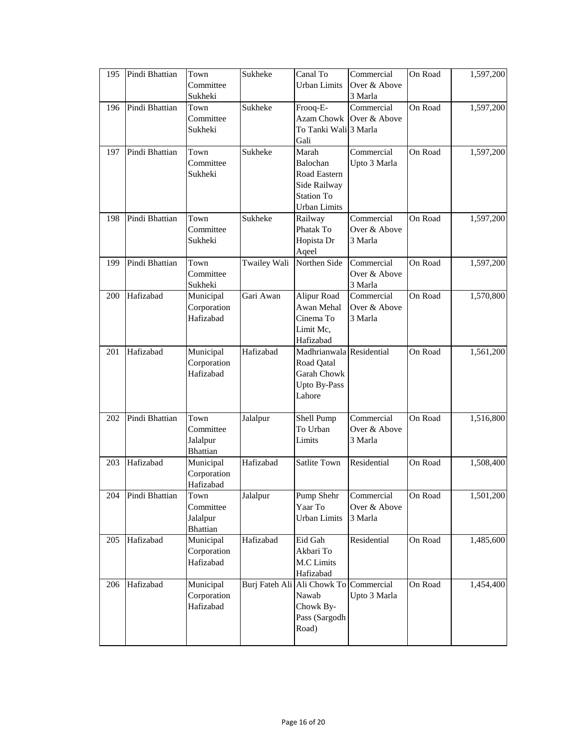| 195 | Pindi Bhattian | Town<br>Committee                                | Sukheke      | Canal To<br><b>Urban Limits</b>                                                               | Commercial<br>Over & Above            | On Road | 1,597,200 |
|-----|----------------|--------------------------------------------------|--------------|-----------------------------------------------------------------------------------------------|---------------------------------------|---------|-----------|
| 196 | Pindi Bhattian | Sukheki<br>Town<br>Committee<br>Sukheki          | Sukheke      | Frooq-E-<br><b>Azam Chowk</b><br>To Tanki Wali 3 Marla<br>Gali                                | 3 Marla<br>Commercial<br>Over & Above | On Road | 1,597,200 |
| 197 | Pindi Bhattian | Town<br>Committee<br>Sukheki                     | Sukheke      | Marah<br>Balochan<br>Road Eastern<br>Side Railway<br><b>Station To</b><br><b>Urban Limits</b> | Commercial<br>Upto 3 Marla            | On Road | 1,597,200 |
| 198 | Pindi Bhattian | Town<br>Committee<br>Sukheki                     | Sukheke      | Railway<br>Phatak To<br>Hopista Dr<br>Aqeel                                                   | Commercial<br>Over & Above<br>3 Marla | On Road | 1,597,200 |
| 199 | Pindi Bhattian | Town<br>Committee<br>Sukheki                     | Twailey Wali | Northen Side                                                                                  | Commercial<br>Over & Above<br>3 Marla | On Road | 1,597,200 |
| 200 | Hafizabad      | Municipal<br>Corporation<br>Hafizabad            | Gari Awan    | Alipur Road<br>Awan Mehal<br>Cinema To<br>Limit Mc,<br>Hafizabad                              | Commercial<br>Over & Above<br>3 Marla | On Road | 1,570,800 |
| 201 | Hafizabad      | Municipal<br>Corporation<br>Hafizabad            | Hafizabad    | Madhrianwala Residential<br>Road Qatal<br><b>Garah Chowk</b><br>Upto By-Pass<br>Lahore        |                                       | On Road | 1,561,200 |
| 202 | Pindi Bhattian | Town<br>Committee<br>Jalalpur<br><b>Bhattian</b> | Jalalpur     | Shell Pump<br>To Urban<br>Limits                                                              | Commercial<br>Over & Above<br>3 Marla | On Road | 1,516,800 |
| 203 | Hafizabad      | Municipal<br>Corporation<br>Hafizabad            | Hafizabad    | Satlite Town                                                                                  | Residential                           | On Road | 1,508,400 |
| 204 | Pindi Bhattian | Town<br>Committee<br>Jalalpur<br><b>Bhattian</b> | Jalalpur     | Pump Shehr<br>Yaar To<br><b>Urban Limits</b>                                                  | Commercial<br>Over & Above<br>3 Marla | On Road | 1,501,200 |
| 205 | Hafizabad      | Municipal<br>Corporation<br>Hafizabad            | Hafizabad    | Eid Gah<br>Akbari To<br>M.C Limits<br>Hafizabad                                               | Residential                           | On Road | 1,485,600 |
| 206 | Hafizabad      | Municipal<br>Corporation<br>Hafizabad            |              | Burj Fateh Ali Ali Chowk To Commercial<br>Nawab<br>Chowk By-<br>Pass (Sargodh<br>Road)        | Upto 3 Marla                          | On Road | 1,454,400 |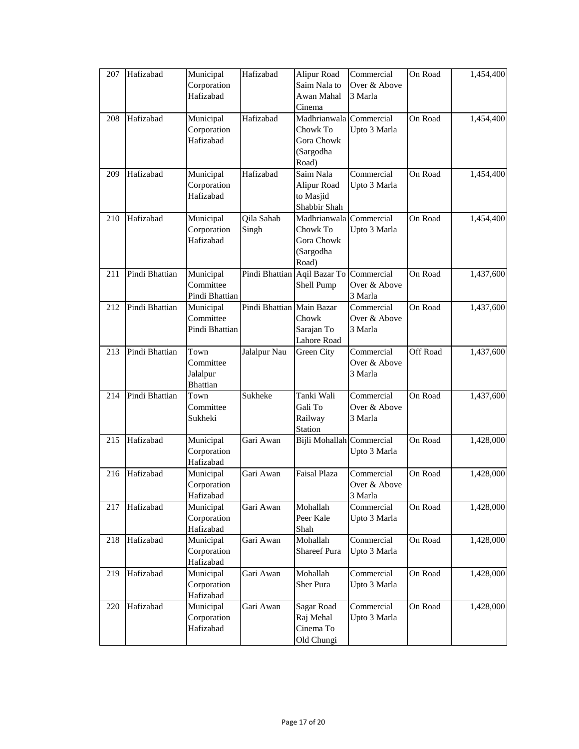| 207 | Hafizabad      | Municipal<br>Corporation<br>Hafizabad            | Hafizabad                 | Alipur Road<br>Saim Nala to<br>Awan Mahal<br>Cinema          | Commercial<br>Over & Above<br>3 Marla | On Road  | 1,454,400 |
|-----|----------------|--------------------------------------------------|---------------------------|--------------------------------------------------------------|---------------------------------------|----------|-----------|
| 208 | Hafizabad      | Municipal<br>Corporation<br>Hafizabad            | Hafizabad                 | Madhrianwala<br>Chowk To<br>Gora Chowk<br>(Sargodha<br>Road) | Commercial<br>Upto 3 Marla            | On Road  | 1,454,400 |
| 209 | Hafizabad      | Municipal<br>Corporation<br>Hafizabad            | Hafizabad                 | Saim Nala<br>Alipur Road<br>to Masjid<br>Shabbir Shah        | Commercial<br>Upto 3 Marla            | On Road  | 1,454,400 |
| 210 | Hafizabad      | Municipal<br>Corporation<br>Hafizabad            | Qila Sahab<br>Singh       | Madhrianwala<br>Chowk To<br>Gora Chowk<br>(Sargodha<br>Road) | Commercial<br>Upto 3 Marla            | On Road  | 1,454,400 |
| 211 | Pindi Bhattian | Municipal<br>Committee<br>Pindi Bhattian         |                           | Pindi Bhattian Aqil Bazar To<br>Shell Pump                   | Commercial<br>Over & Above<br>3 Marla | On Road  | 1,437,600 |
| 212 | Pindi Bhattian | Municipal<br>Committee<br>Pindi Bhattian         | Pindi Bhattian Main Bazar | Chowk<br>Sarajan To<br>Lahore Road                           | Commercial<br>Over & Above<br>3 Marla | On Road  | 1,437,600 |
| 213 | Pindi Bhattian | Town<br>Committee<br>Jalalpur<br><b>Bhattian</b> | Jalalpur Nau              | Green City                                                   | Commercial<br>Over & Above<br>3 Marla | Off Road | 1,437,600 |
| 214 | Pindi Bhattian | Town<br>Committee<br>Sukheki                     | Sukheke                   | Tanki Wali<br>Gali To<br>Railway<br><b>Station</b>           | Commercial<br>Over & Above<br>3 Marla | On Road  | 1,437,600 |
| 215 | Hafizabad      | Municipal<br>Corporation<br>Hafizabad            | Gari Awan                 | Bijli Mohallah Commercial                                    | Upto 3 Marla                          | On Road  | 1,428,000 |
| 216 | Hafizabad      | Municipal<br>Corporation<br>Hafizabad            | Gari Awan                 | <b>Faisal Plaza</b>                                          | Commercial<br>Over & Above<br>3 Marla | On Road  | 1,428,000 |
| 217 | Hafizabad      | Municipal<br>Corporation<br>Hafizabad            | Gari Awan                 | Mohallah<br>Peer Kale<br>Shah                                | Commercial<br>Upto 3 Marla            | On Road  | 1,428,000 |
| 218 | Hafizabad      | Municipal<br>Corporation<br>Hafizabad            | Gari Awan                 | Mohallah<br>Shareef Pura                                     | Commercial<br>Upto 3 Marla            | On Road  | 1,428,000 |
| 219 | Hafizabad      | Municipal<br>Corporation<br>Hafizabad            | Gari Awan                 | Mohallah<br>Sher Pura                                        | Commercial<br>Upto 3 Marla            | On Road  | 1,428,000 |
| 220 | Hafizabad      | Municipal<br>Corporation<br>Hafizabad            | Gari Awan                 | Sagar Road<br>Raj Mehal<br>Cinema To<br>Old Chungi           | Commercial<br>Upto 3 Marla            | On Road  | 1,428,000 |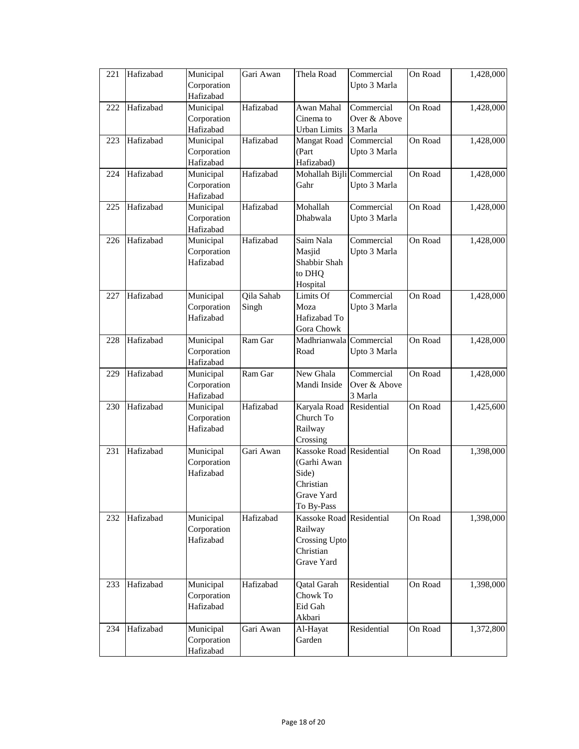| 221 | Hafizabad | Municipal                | Gari Awan  | Thela Road                        | Commercial   | On Road | 1,428,000 |
|-----|-----------|--------------------------|------------|-----------------------------------|--------------|---------|-----------|
|     |           | Corporation<br>Hafizabad |            |                                   | Upto 3 Marla |         |           |
| 222 | Hafizabad | Municipal                | Hafizabad  | Awan Mahal                        | Commercial   | On Road | 1,428,000 |
|     |           | Corporation              |            | Cinema to                         | Over & Above |         |           |
|     |           | Hafizabad                |            | <b>Urban Limits</b>               | 3 Marla      |         |           |
| 223 | Hafizabad | Municipal                | Hafizabad  | Mangat Road                       | Commercial   | On Road | 1,428,000 |
|     |           | Corporation              |            | (Part                             | Upto 3 Marla |         |           |
|     |           | Hafizabad                |            | Hafizabad)                        |              |         |           |
| 224 | Hafizabad | Municipal<br>Corporation | Hafizabad  | Mohallah Bijli Commercial<br>Gahr | Upto 3 Marla | On Road | 1,428,000 |
|     |           | Hafizabad                |            |                                   |              |         |           |
| 225 | Hafizabad | Municipal                | Hafizabad  | Mohallah                          | Commercial   | On Road | 1,428,000 |
|     |           | Corporation              |            | Dhabwala                          | Upto 3 Marla |         |           |
|     |           | Hafizabad                |            |                                   |              |         |           |
| 226 | Hafizabad | Municipal                | Hafizabad  | Saim Nala                         | Commercial   | On Road | 1,428,000 |
|     |           | Corporation              |            | Masjid                            | Upto 3 Marla |         |           |
|     |           | Hafizabad                |            | Shabbir Shah                      |              |         |           |
|     |           |                          |            | to DHQ                            |              |         |           |
|     |           |                          |            | Hospital                          |              |         |           |
| 227 | Hafizabad | Municipal                | Qila Sahab | Limits Of                         | Commercial   | On Road | 1,428,000 |
|     |           | Corporation<br>Hafizabad | Singh      | Moza<br>Hafizabad To              | Upto 3 Marla |         |           |
|     |           |                          |            | Gora Chowk                        |              |         |           |
| 228 | Hafizabad | Municipal                | Ram Gar    | Madhrianwala                      | Commercial   | On Road | 1,428,000 |
|     |           | Corporation              |            | Road                              | Upto 3 Marla |         |           |
|     |           | Hafizabad                |            |                                   |              |         |           |
| 229 | Hafizabad | Municipal                | Ram Gar    | New Ghala                         | Commercial   | On Road | 1,428,000 |
|     |           | Corporation              |            | Mandi Inside                      | Over & Above |         |           |
|     |           | Hafizabad                |            |                                   | 3 Marla      |         |           |
| 230 | Hafizabad | Municipal                | Hafizabad  | Karyala Road                      | Residential  | On Road | 1,425,600 |
|     |           | Corporation              |            | Church To                         |              |         |           |
|     |           | Hafizabad                |            | Railway<br>Crossing               |              |         |           |
| 231 | Hafizabad | Municipal                | Gari Awan  | Kassoke Road Residential          |              | On Road | 1,398,000 |
|     |           | Corporation              |            | (Garhi Awan                       |              |         |           |
|     |           | Hafizabad                |            | Side)                             |              |         |           |
|     |           |                          |            | Christian                         |              |         |           |
|     |           |                          |            | Grave Yard                        |              |         |           |
|     |           |                          |            | To By-Pass                        |              |         |           |
| 232 | Hafizabad | Municipal                | Hafizabad  | Kassoke Road Residential          |              | On Road | 1,398,000 |
|     |           | Corporation              |            | Railway                           |              |         |           |
|     |           | Hafizabad                |            | <b>Crossing Upto</b>              |              |         |           |
|     |           |                          |            | Christian<br>Grave Yard           |              |         |           |
|     |           |                          |            |                                   |              |         |           |
| 233 | Hafizabad | Municipal                | Hafizabad  | Qatal Garah                       | Residential  | On Road | 1,398,000 |
|     |           | Corporation              |            | Chowk To                          |              |         |           |
|     |           | Hafizabad                |            | Eid Gah                           |              |         |           |
|     |           |                          |            | Akbari                            |              |         |           |
| 234 | Hafizabad | Municipal                | Gari Awan  | Al-Hayat                          | Residential  | On Road | 1,372,800 |
|     |           | Corporation              |            | Garden                            |              |         |           |
|     |           | Hafizabad                |            |                                   |              |         |           |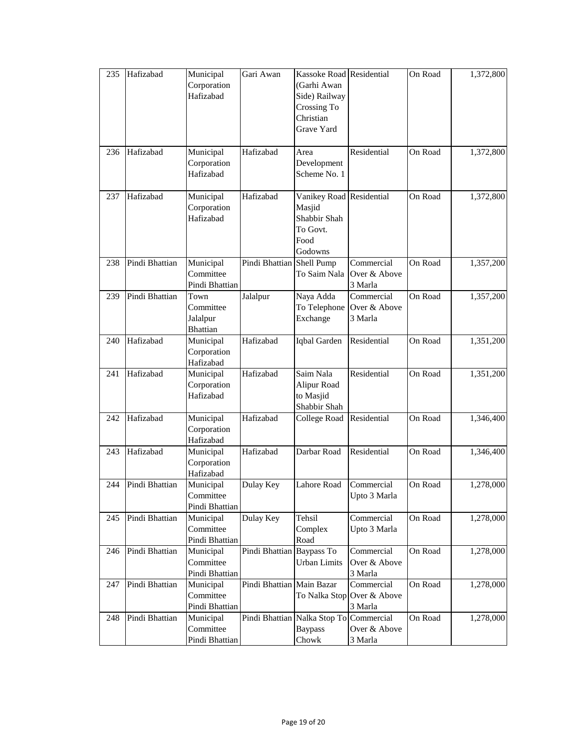| 235 | Hafizabad      | Municipal<br>Corporation<br>Hafizabad            | Gari Awan                 | Kassoke Road Residential<br>(Garhi Awan<br>Side) Railway<br>Crossing To<br>Christian<br>Grave Yard |                                                     | On Road | 1,372,800 |
|-----|----------------|--------------------------------------------------|---------------------------|----------------------------------------------------------------------------------------------------|-----------------------------------------------------|---------|-----------|
| 236 | Hafizabad      | Municipal<br>Corporation<br>Hafizabad            | Hafizabad                 | Area<br>Development<br>Scheme No. 1                                                                | Residential                                         | On Road | 1,372,800 |
| 237 | Hafizabad      | Municipal<br>Corporation<br>Hafizabad            | Hafizabad                 | Vanikey Road Residential<br>Masjid<br>Shabbir Shah<br>To Govt.<br>Food<br>Godowns                  |                                                     | On Road | 1,372,800 |
| 238 | Pindi Bhattian | Municipal<br>Committee<br>Pindi Bhattian         | Pindi Bhattian Shell Pump | To Saim Nala                                                                                       | Commercial<br>Over & Above<br>3 Marla               | On Road | 1,357,200 |
| 239 | Pindi Bhattian | Town<br>Committee<br>Jalalpur<br><b>Bhattian</b> | Jalalpur                  | Naya Adda<br>To Telephone<br>Exchange                                                              | Commercial<br>Over & Above<br>3 Marla               | On Road | 1,357,200 |
| 240 | Hafizabad      | Municipal<br>Corporation<br>Hafizabad            | Hafizabad                 | Iqbal Garden                                                                                       | Residential                                         | On Road | 1,351,200 |
| 241 | Hafizabad      | Municipal<br>Corporation<br>Hafizabad            | Hafizabad                 | Saim Nala<br>Alipur Road<br>to Masjid<br>Shabbir Shah                                              | Residential                                         | On Road | 1,351,200 |
| 242 | Hafizabad      | Municipal<br>Corporation<br>Hafizabad            | Hafizabad                 | College Road                                                                                       | Residential                                         | On Road | 1,346,400 |
| 243 | Hafizabad      | Municipal<br>Corporation<br>Hafizabad            | Hafizabad                 | Darbar Road                                                                                        | Residential                                         | On Road | 1,346,400 |
| 244 | Pindi Bhattian | Municipal<br>Committee<br>Pindi Bhattian         | Dulay Key                 | Lahore Road                                                                                        | Commercial<br>Upto 3 Marla                          | On Road | 1,278,000 |
| 245 | Pindi Bhattian | Municipal<br>Committee<br>Pindi Bhattian         | Dulay Key                 | Tehsil<br>Complex<br>Road                                                                          | Commercial<br>Upto 3 Marla                          | On Road | 1,278,000 |
| 246 | Pindi Bhattian | Municipal<br>Committee<br>Pindi Bhattian         | Pindi Bhattian            | <b>Baypass To</b><br><b>Urban Limits</b>                                                           | Commercial<br>Over & Above<br>3 Marla               | On Road | 1,278,000 |
| 247 | Pindi Bhattian | Municipal<br>Committee<br>Pindi Bhattian         | Pindi Bhattian Main Bazar |                                                                                                    | Commercial<br>To Nalka Stop Over & Above<br>3 Marla | On Road | 1,278,000 |
| 248 | Pindi Bhattian | Municipal<br>Committee<br>Pindi Bhattian         |                           | Pindi Bhattian Nalka Stop To Commercial<br><b>Baypass</b><br>Chowk                                 | Over & Above<br>3 Marla                             | On Road | 1,278,000 |